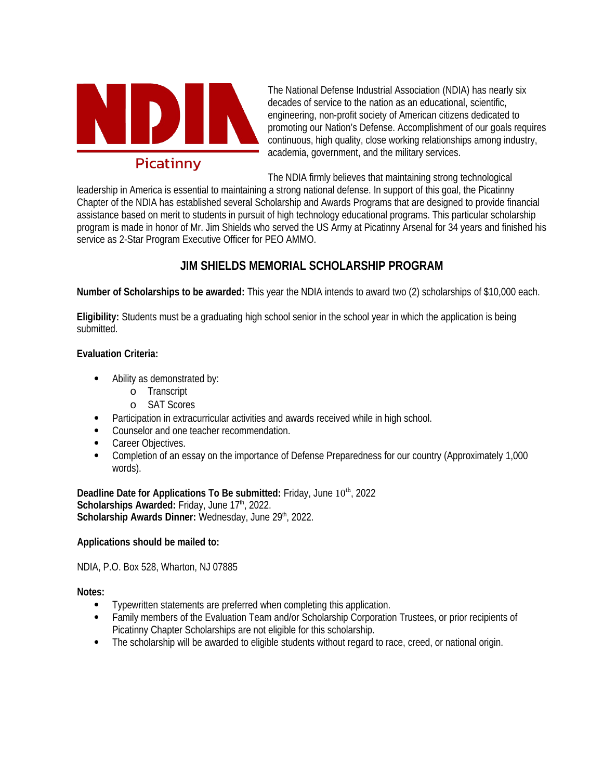

The National Defense Industrial Association (NDIA) has nearly six decades of service to the nation as an educational, scientific, engineering, non-profit society of American citizens dedicated to promoting our Nation's Defense. Accomplishment of our goals requires continuous, high quality, close working relationships among industry, academia, government, and the military services.

The NDIA firmly believes that maintaining strong technological

leadership in America is essential to maintaining a strong national defense. In support of this goal, the Picatinny Chapter of the NDIA has established several Scholarship and Awards Programs that are designed to provide financial assistance based on merit to students in pursuit of high technology educational programs. This particular scholarship program is made in honor of Mr. Jim Shields who served the US Army at Picatinny Arsenal for 34 years and finished his service as 2-Star Program Executive Officer for PEO AMMO.

## **JIM SHIELDS MEMORIAL SCHOLARSHIP PROGRAM**

**Number of Scholarships to be awarded:** This year the NDIA intends to award two (2) scholarships of \$10,000 each.

**Eligibility:** Students must be a graduating high school senior in the school year in which the application is being submitted.

#### **Evaluation Criteria:**

- Ability as demonstrated by:
	- o Transcript
	- o SAT Scores
- Participation in extracurricular activities and awards received while in high school.
- Counselor and one teacher recommendation.
- Career Objectives.
- Completion of an essay on the importance of Defense Preparedness for our country (Approximately 1,000 words).

**Deadline Date for Applications To Be submitted: Friday, June 10<sup>th</sup>, 2022 Scholarships Awarded: Friday, June 17th, 2022. Scholarship Awards Dinner: Wednesday, June 29th, 2022.** 

### **Applications should be mailed to:**

NDIA, P.O. Box 528, Wharton, NJ 07885

**Notes:**

- Typewritten statements are preferred when completing this application.
- Family members of the Evaluation Team and/or Scholarship Corporation Trustees, or prior recipients of Picatinny Chapter Scholarships are not eligible for this scholarship.
- The scholarship will be awarded to eligible students without regard to race, creed, or national origin.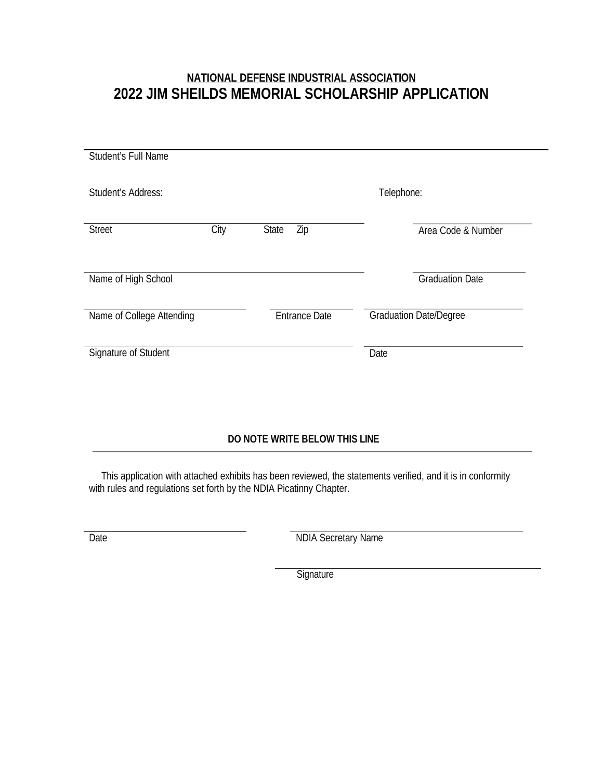# **NATIONAL DEFENSE INDUSTRIAL ASSOCIATION 2022 JIM SHEILDS MEMORIAL SCHOLARSHIP APPLICATION**

| Student's Full Name       |      |                      |                               |
|---------------------------|------|----------------------|-------------------------------|
|                           |      |                      |                               |
| Student's Address:        |      |                      | Telephone:                    |
|                           |      |                      |                               |
| <b>Street</b>             | City | <b>State</b><br>Zip  | Area Code & Number            |
|                           |      |                      |                               |
| Name of High School       |      |                      | <b>Graduation Date</b>        |
|                           |      |                      |                               |
| Name of College Attending |      | <b>Entrance Date</b> | <b>Graduation Date/Degree</b> |
|                           |      |                      |                               |
| Signature of Student      |      |                      | Date                          |
|                           |      |                      |                               |
|                           |      |                      |                               |

### **DO NOTE WRITE BELOW THIS LINE**

This application with attached exhibits has been reviewed, the statements verified, and it is in conformity with rules and regulations set forth by the NDIA Picatinny Chapter.

Date **NDIA** Secretary Name

**Signature**